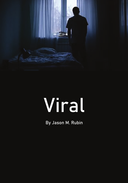

# Viral

By Jason M. Rubin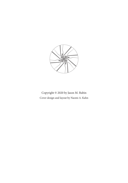

Copyright © 2020 by Jason M. Rubin Cover design and layout by Naomi A. Kahn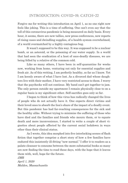## INTRODUCTION: COVID-19, CATCH-22

Forgive me for writing this introduction on April 1, as no one right now feels like joking. This is a time of suffering. One can't even say that the toll of this coronavirus pandemic is being measured on daily basis. Every hour, it seems, there are new tallies, new press conferences, new reports of rising cases and dwindling supplies, of a health system overwhelmed, of a world overmatched by a highly contagious bug.

It wasn't supposed to be this way. It was supposed to be a nuclear bomb, or an asteroid, or the poisoning of our water supply. In a world that had seen the eradication of a host of once-deadly diseases, we are being felled by a relative of the common cold.

Like so many others, I have been in self-quarantine for weeks now, working from home, venturing out only for essential supplies and fresh air. As of this writing, I am perfectly healthy, so far as I know. Yet I am keenly aware of what I have lost. As a divorced dad whose daughters live with their mother, I have very restricted access to them. I worry that the paychecks will not continue. My band can't get together to jam. The only person outside my apartment I remain physically close to on a regular basis is my significant other. Self-sacrifice goes only so far.

I began to think of how this virus has radically changed the lives of people who do not actually have it. One expects direct victims and their loved ones to absorb the lion's share of the impact of a deadly event. But this pandemic has had far-reaching consequences for the sick and the healthy alike. Without trying to minimize the suffering of those who have died and the families and friends who mourn them, or to equate death and mere inconvenience, I started to write a couple of short vignettes about people affected by the current social lockdown in ways other than their clinical status.

As I wrote, this idea morphed into five interlocking scenes of flash fiction that together comprise a short story of how a few families have endured this insistently ill-fitting "new normal." I offer it to readers as a palate cleanser to consume between the more substantial books so many are now finding the time to read these days, with the hope that it leaves them with, well, hope for the future.

*JMR April 1, 2020 Malden, Massachusetts*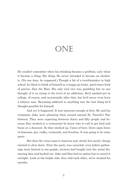## DNF

He couldn't remember when his drinking became a problem, only when it became a thing. His thing. He never intended to become an alcoholic. (No one does, he supposed.) Though a bit of a troublemaker in high school, he liked to think of himself as a happy-go-lucky, good-times kind of person. Dan the Man. His only real vice was gambling but no one thought of it as rising to the level of an addiction. He'd smoked pot in college, of course, and occasionally after that, but he'd never even been a tobacco user. Becoming addicted to anything was the last thing he'd thought possible for himself.

And yet it happened. It was innocent enough at first. He and his roommate Jake were planning their second annual St. Patrick's Day blowout. They were expecting between thirty and fifty people and because Dan worked in a restaurant he knew who to call to get food and booze at a discount. So they stocked up. Cases of beer, liters upon liters of Jameson, gin, vodka, vermouth, and bourbon. It was going to be some party.

But then the virus came to America and, slowly but surely, things started to shut down. First the party was canceled: even before gatherings were limited to ten people, invitees had bought into the social distancing idea and backed out. Jake and Dan had no option but to cancel it outright. Look at the bright side, they told each other, we're stocked for months.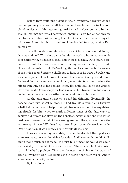Before they could put a dent in their inventory, however, Jake's mother got very sick, so he left town to be closer to her. He took a couple of bottles with him, assuming he'd be back before too long. In fact, though, his mother, who'd contracted pneumonia on top of her chronic emphysema, didn't last too long herself. Because there were things to take care of, and family to attend to, Jake decided to stay, leaving Dan on his own.

Soon the restaurant shut down, except for takeout and delivery. Dan was laid off. With time on his hands, no work to be done, no friends to socialize with, he began to tackle his store of alcohol. Out of pure boredom, he drank. Because there were too many hours in a day, he drank. He was alone, so he drank. Before long, the bottles standing in the corner of the living room became a challenge to him, as if he were a bowler and they were pins to knock down. So came his new routine: gin and tonics for breakfast, whiskey sours for lunch, martinis for dinner. When the mixers ran out, he didn't replace them. He could still go to the grocery store and he did (once the party food ran out), but to conserve his money he decided it was more cost-effective to drink his alcohol neat.

As the quarantine went on, so did his drinking. Eventually, he needed more just to get buzzed. He had trouble sleeping and thought a belt before bed would help. It simply became another of many drinking rituals for him, ways to mark different times of the day, ways to achieve a different reality from the hopeless, monotonous one into which he'd been thrown. He didn't have energy to clean the apartment, nor the will to clean himself. While a "new normal" settled on the world outside, Dan's new normal was simply being drunk all the time.

It was a warm day in mid-April when he decided that, just as a change of pace, he wouldn't drink for a day. And he found he couldn't. He didn't make much out of his failure, just told himself he would try again the next day. He couldn't do it then, either. That's when he first started to think he had a problem. That, and the fact that their months' worth of alcohol inventory was just about gone in fewer than four weeks. And it was consumed mostly by him.

By him alone.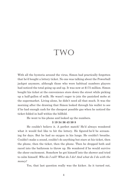## two

With all the hysteria around the virus, Simon had practically forgotten that he'd bought a lottery ticket. No one was talking about the Powerball jackpot anymore, although those who were habitual numbers players had noticed the total going up and up. It was now at \$175 million. Simon bought his ticket at the convenience store down the street while picking up a half-gallon of milk. He wasn't eager to join the panicked mobs at the supermarket. Living alone, he didn't need all that much. It was the morning after the drawing that Simon looked through his wallet to see if he had enough cash for the cheapest possible gas when he noticed the ticket folded in half within the billfold.

He went to his phone and looked up the numbers.

#### **3 19 34 36 43 50 8**

He couldn't believe it. A perfect match! He'd always wondered what it would feel like to hit the lottery. He figured he'd be screaming for days. But he had no oxygen in his lungs. He couldn't breathe. Couldn't make a sound, couldn't do anything but stare at his ticket, then the phone, then the ticket, then the phone. Then he dropped both and raced into the bathroom to throw up. He wondered if he would survive the sheer excitement. Somehow he got himself into the shower and tried to calm himself. *Who do I call? What do I do? And what do I do with the money?*

Yes, that last question really was the kicker. As it turned out,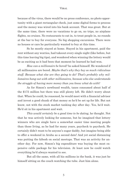because of the virus, there would be no press conference, no photo opportunity with a giant rectangular check, just some digital forms to process and the money was wired into his bank account. That was great. But at the same time, there were no vacations to go on, no trips, no airplane flights, no cruises. No restaurants to eat in, to treat people in, no rounds at the bar to buy for everyone. No big shopping excursions. There were no houses or cars he particularly wanted to buy at this time.

So he mostly stayed at home. Stayed in his apartment, paid the rent without any worries, had takeout every single night (like before, but this time leaving big tips), and wondered when winning the lottery would be as exciting as it had been that moment he learned he had won.

*How can a millionaire be bored?* he asked himself. He wondered if all millionaires are bored. *Maybe that's why they buy so much ridiculous stuff. Because what else are they going to do? That's probably why millionaires hang out with other millionaires, because who else understands the struggle of having more money than you know what do with?*

As for Simon's newfound wealth, taxes consumed about half of the \$175 million but there was still plenty left. He didn't worry about that. When he could, he reasoned, he would meet with a financial advisor and invest a good chunk of that money so he'd be set up for life. But not know, not with the stock market tanking day after day. Yes, he'd wait. He'd sit in his apartment and wait.

*This would certainly be a good time to be dating,* he thought. Not that he was actively looking for someone, but he imagined that lottery winners who are single have a somewhat easier time meeting people than those living, as he had for many years, paycheck to paycheck. He certainly didn't want to be anyone's sugar daddy, but imagine being able to offer a weekend in Aruba as a second date! And yet social distancing was putting the kibosh on social meetups. That was an activity for another day. For now, Simon's big expenditure was buying the most expensive cable package for his television. At least now he could watch everything he'd always wanted to see.

But all the same, with all his millions in the bank, it was just he himself sitting on the couch watching the tube. Just him alone.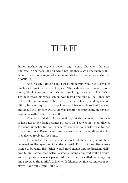## THREE

Jake's mother, Agnes, was seventy-eight years old when she died. She was in the hospital and while her diagnosis was pneumonia, universal precautions required she be isolated and treated as if she had COVID-19.

As a result, Jake and the rest of his family were not allowed so much as to visit her in the hospital. The sadness and tension were a heavy blanket around them, though providing no warmth. His father, Ted, four years his wife's senior, was tested and found, like Agnes, not to have the coronavirus. Relief. Still, because of his age and Agnes' condition, he was required to stay home and because Jake had been out and about the last few weeks, he was prohibited from being in physical proximity with his father as well.

This only added to Jake's anxiety, but the important thing was to keep his father from becoming a statistic. Ted was not even allowed to attend his wife's funeral, which, by the governor's order, was limited to ten mourners. Fewer overall tears were shed at the small service, but they flowed freely all the same.

If his mother hadn't been so seriously ill, Jake likely would have returned to the apartment he shared with Dan. But now there were things to be done. His father would need meals and medications delivered to him. Agnes died within a week of being admitted to the hospital and though Jake was not permitted to visit her, he called her every day and served as the family's liaison with friends, neighbors, and other relatives. Jake felt useful. But alone.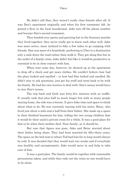He didn't call Dan; they weren't really close friends after all. It was Dan's apartment originally and when his first roommate left, he posted a flyer in the local laundromat. Jake tore off the phone number and became Dan's second roommate.

They bonded over sports and partying but in the fourteen months they lived together, they never really got to know each other well. Jake was more active, more inclined to bike a few miles or go camping with friends. Dan was more of a homebody, preferring to Uber to a destination only a mile down the road rather than walk it. They got along fine but in the midst of a family crisis, Jake didn't feel like it would be productive or essential to be in close contact with him.

When rent came due, however, he showed up at the apartment to drop off a check and get more clothes. He couldn't believe how bad the place looked and smelled – or how bad Dan looked and smelled. He didn't stay to ask questions, just got his stuff and went back to be with his family. He had his own worries to deal with. Dan's issues would have to stay Dan's issues.

The trip back and forth was forty-five minutes with no traffic. It usually took that plus half as much longer but with so many people staying home, the ride was a breeze. It gave Jake time and space to think about what to do. He was currently staying with his sister, Betsy, who lived just about a mile and a half from their father. She made up a space in their finished basement for him, telling her two young children that it would be their uncle's private room for a while. It was a good place for him to be when their mother died. Near family, as it should be.

But now that Agnes was gone, Jake and Betsy worried about their father being alone. They had been married for fifty-three years. The space on the bed next to where Ted had lain for so long would always be cold. It was decided that they would wait two weeks and if everybody was healthy and asymptomatic, Jake would move in and help to take care of him.

It was a good plan. The family would be together with reasonable precautions taken, and while they rode out the crisis no one would have to be alone.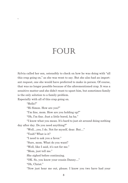# Four

Sylvia called her son, ostensibly to check on how he was doing with "all this crap going on," as she was wont to say. But she also had an important request, one she would have preferred to make in person. Of course, that was no longer possible because of the aforementioned crap. It was a sensitive matter and she didn't want to upset him, but sometimes family is the only solution to a family problem.

Especially with all of this crap going on.

"Hello?"

l

"Hi Simon. How are you?"

"I'm fine, mom. How are you holding up?"

"Oh, I'm fine. Just a little bored, ha ha."

"I know what you mean. It's hard to just sit around doing nothing day after day. Do you need anything?"

"Well…yes, I do. Not for myself, dear. But…"

"Yeah? What is it?

"I need to ask you a favor."

"Sure, mom. What do you want?

"Well, like I said, it's not for me."

"Mom, just tell me."

She sighed before continuing.

"OK. So, you know your cousin Danny…"

"Oh, Christ."

"Now just hear me out, please. I know you two have had your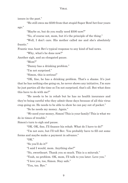#### VIR AL

issues in the past."

"He still owes me \$500 from that stupid Super Bowl bet four years ago."

"Maybe so, but do you really need \$500 now?"

"No, of course not, mom, but it's the principle of the thing."

"Well, I don't care. His mother called me and she's absolutely frantic."

Frantic was Aunt Bev's typical response to any kind of bad news.

"Why, what's he done now?"

Another sigh, and an elongated pause.

"Mom?"

"Danny has a drinking problem."

"I'm not surprised."

"Simon, this is serious!"

"OK, fine, he has a drinking problem. That's a shame. It's just that he has nothing else going on, he never shows any initiative, I'm sure he just parties all the time so I'm not surprised, that's all. But what does this have to do with me?"

"He needs to be in rehab but he has no health insurance and they're being careful who they admit these days because of all this virus crap going on. He needs to be able to show he can pay out of pocket."

"So he needs my money. Again."

"*We* need your money, Simon! This is your family! This is what we do in times of trouble."

Simon's turn to sigh and pause.

"OK. OK, fine, I'll finance his rehab. What do I have to do?"

"I'm not sure, but I'll tell Bev. You probably have to fill out some forms and maybe make a payment in advance."

"OK."

"So you'll do it?"

"I said I would, mom. Anything else?"

"No, sweetheart. Thank you so much. This is a mitzvah."

"Yeah, no problem. OK, mom, I'll talk to you later. Love you."

"I love you, too, Simon. Stay safe."

"You, too. Bye."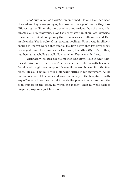## Jason M. Rubin

*That stupid son of a bitch!* Simon fumed. He and Dan had been close when they were younger, but around the age of twelve they took different paths: Simon the more studious and serious, Dan the more misdirected and mischievous. Now that they were in their late twenties, it seemed not at all surprising that Simon was a millionaire and Dan an alcoholic. Yet in spite of his personal feelings, Simon was intelligent enough to know it wasn't that simple. He didn't earn that lottery jackpot, it was just dumb luck. And as for Dan, well, his father (Sylvia's brother) had been an alcoholic as well. He died when Dan was only three.

Ultimately, he guessed his mother was right. This is what families do. And since there wasn't much else he could do with his newfound wealth right now, maybe this was the reason he won it in the first place. He could actually save a life while sitting in his apartment. All he had to do was call his bank and wire the money to the hospital. Hardly any effort at all. And so he did it. With the phone in one hand and the cable remote in the other, he wired the money. Then he went back to bingeing programs, just him alone.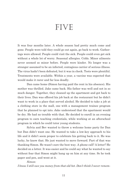# FIVE

It was four months later. A whole season had pretty much come and gone. People were told they could go out again, go back to work. Gatherings were allowed. People could visit the sick. People could even get sick without a whole lot of worry. Seasonal allergies. Colds. Minor ailments never seemed so minor before. People were kinder. No longer was a stranger assumed to be an infected, contagious carrier of serious illness. The virus hadn't been defeated, but it was in check. Tests were plentiful. Treatments were available. Within a year, a vaccine was expected that would make it rarer and far less deadly.

Dan came home (Simon having paid the rent in his absence). His mother was thrilled. Jake came back. His father was well and not in so much danger. Together, they cleaned up the apartment and got back to their lives. Dan was offered his job back at the restaurant but he didn't want to work in a place that served alcohol. He decided to take a job at a clothing store in the mall, one with a management trainee program that he planned to opt into. Jake understood that the apartment would be dry. He had no trouble with that. He decided to enroll in an evening program to earn teaching credentials, while working at an afterschool program in which he could tutor young students.

Sylvia and Bev wanted to throw a welcome home party for Dan but Dan didn't want one. He wanted to take a low-key approach to his life and it didn't seem proper to celebrate his getting back to it. He was lucky, he knew that. He just wanted to move forward. Part of that was thanking Simon. He wasn't sure the best way. A phone call? A letter? He decided on a letter. It was easier and he could say what he wanted to say without fear that Simon might hang up on him at any time. So he took paper and pen, and went at it.

## *Simon:*

*I know I still owe you money from that old bet. Don't think I never remem-*